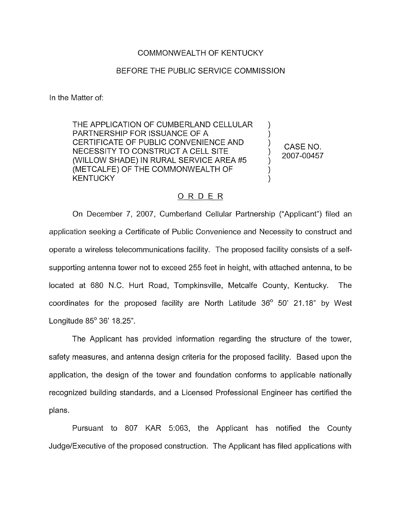## COMMONWEALTH OF KENTUCKY

## BEFORE THE PUBLIC SERVICE COMMISSION

In the Matter of:

THE APPLICATION OF CUMBERLAND CELLULAR PARTNERSHIP FOR ISSUANCE OF A CERTIFICATE OF PUBLIC CONVENIENCE AND NECESSITY TO CONSTRUCT A CELL SITE (WILLOW SHADE) IN RURAL SERVICE AREA #5 (METCALFE) OF THE COMMONWEALTH OF **KENTUCKY** 

CASE NO. 2007-00457

) )

)

)

) )

## ORDER

On December 7, 2007, Cumberland Cellular Partnership ("Applicant") filed ar application seeking a Certificate of Public Convenience and Necessity to construct and operate a wireless telecommunications facility. The proposed facility consists of a selfsupporting antenna tower not to exceed 255 feet in height, with attached antenna, to be located at 680 N.C. Hurt Road, Tompkinsville, Metcalfe County, Kentucky. The coordinates for the proposed facility are North Latitude  $36^{\circ}$  50' 21.18" by West Longitude  $85^{\circ}$  36' 18.25".

The Applicant has provided information regarding the structure of the tower, safety measures, and antenna design criteria for the proposed facility. Based upon the application, the design of the tower and foundation conforms to applicable nationally recognized building standards, and a Licensed Professional Engineer has certified the plans.

Pursuant to 807 KAR 5:063, the Applicant has notified the County Judge/Executive of the proposed construction. The Applicant has filed applications with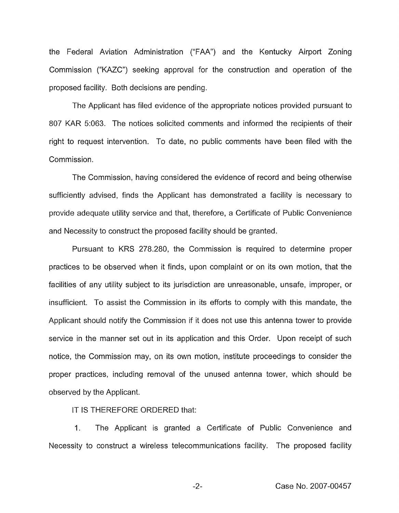the Federal Aviation Administration ("FAA") and the Kentucky Airport Zoning Commission ("KAZC") seeking approval for the construction and operation of the proposed facility. Both decisions are pending.

The Applicant has filed evidence of the appropriate notices provided pursuant to 807 KAR 5:063. The notices solicited comments and informed the recipients of their right to request intervention. To date, no public comments have been filed with the Commission.

The Commission, having considered the evidence of record and being otherwise sufficiently advised, finds the Applicant has demonstrated a facility is necessary to provide adequate utility service and that, therefore, a Certificate of Public Convenience and Necessity to construct the proposed facility should be granted.

Pursuant to KRS 278.280, the Commission is required to determine proper practices to be observed when it finds, upon complaint or on its own motion, that the facilities of any utility subject to its jurisdiction are unreasonable, unsafe, improper, or insufficient. To assist the Commission in its efforts to comply with this mandate, the Applicant should notify the Commission if it does not use this antenna tower to provide service in the manner set out in its application and this Order. Upon receipt of such notice, the Commission may, on its own motion, institute proceedings to consider the proper practices, including removal of the unused antenna tower, which should be observed by the Applicant.

IT IS THEREFORE ORDERED that:

1. The Applicant is granted a Certificate of Public Convenience and Necessity to construct a wireless telecommunications facility. The proposed facility

Case No. 2007-00457

 $-2-$